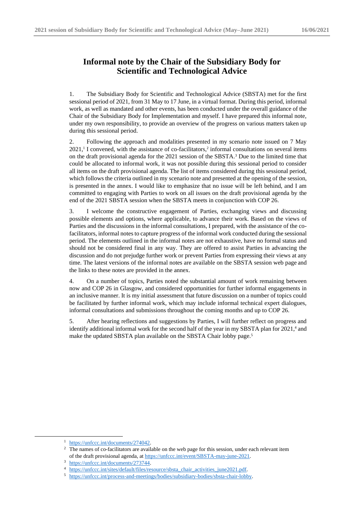## **Informal note by the Chair of the Subsidiary Body for Scientific and Technological Advice**

1. The Subsidiary Body for Scientific and Technological Advice (SBSTA) met for the first sessional period of 2021, from 31 May to 17 June, in a virtual format. During this period, informal work, as well as mandated and other events, has been conducted under the overall guidance of the Chair of the Subsidiary Body for Implementation and myself. I have prepared this informal note, under my own responsibility, to provide an overview of the progress on various matters taken up during this sessional period.

2. Following the approach and modalities presented in my scenario note issued on 7 May  $2021$ ,<sup>1</sup> I convened, with the assistance of co-facilitators,<sup>2</sup> informal consultations on several items on the draft provisional agenda for the 2021 session of the SBSTA.<sup>3</sup> Due to the limited time that could be allocated to informal work, it was not possible during this sessional period to consider all items on the draft provisional agenda. The list of items considered during this sessional period, which follows the criteria outlined in my scenario note and presented at the opening of the session, is presented in the annex. I would like to emphasize that no issue will be left behind, and I am committed to engaging with Parties to work on all issues on the draft provisional agenda by the end of the 2021 SBSTA session when the SBSTA meets in conjunction with COP 26.

3. I welcome the constructive engagement of Parties, exchanging views and discussing possible elements and options, where applicable, to advance their work. Based on the views of Parties and the discussions in the informal consultations, I prepared, with the assistance of the cofacilitators, informal notes to capture progress of the informal work conducted during the sessional period. The elements outlined in the informal notes are not exhaustive, have no formal status and should not be considered final in any way. They are offered to assist Parties in advancing the discussion and do not prejudge further work or prevent Parties from expressing their views at any time. The latest versions of the informal notes are available on the SBSTA session web page and the links to these notes are provided in the annex.

4. On a number of topics, Parties noted the substantial amount of work remaining between now and COP 26 in Glasgow, and considered opportunities for further informal engagements in an inclusive manner. It is my initial assessment that future discussion on a number of topics could be facilitated by further informal work, which may include informal technical expert dialogues, informal consultations and submissions throughout the coming months and up to COP 26.

5. After hearing reflections and suggestions by Parties, I will further reflect on progress and identify additional informal work for the second half of the year in my SBSTA plan for 2021,<sup>4</sup> and make the updated SBSTA plan available on the SBSTA Chair lobby page.<sup>5</sup>

<sup>1</sup> [https://unfccc.int/documents/274042.](https://unfccc.int/documents/274042)

<sup>&</sup>lt;sup>2</sup> [The](https://unfccc.int/event/SBI-may-june-2021) names of co-facilitators are available on the web page for this session, under each relevant item of the draft provisional agenda, at [https://unfccc.int/event/SBSTA-may-june-2021.](https://unfccc.int/event/SBSTA-may-june-2021) 

<sup>3</sup> [https://unfccc.int/documents/273744.](https://unfccc.int/documents/273744)

<sup>4</sup> [https://unfccc.int/sites/default/files/resource/sbsta\\_chair\\_activities\\_june2021.pdf.](https://unfccc.int/sites/default/files/resource/sbsta_chair_activities_june2021.pdf)

<sup>5</sup> [https://unfccc.int/process-and-meetings/bodies/subsidiary-bodies/sbsta-chair-lobby.](https://unfccc.int/process-and-meetings/bodies/subsidiary-bodies/sbsta-chair-lobby)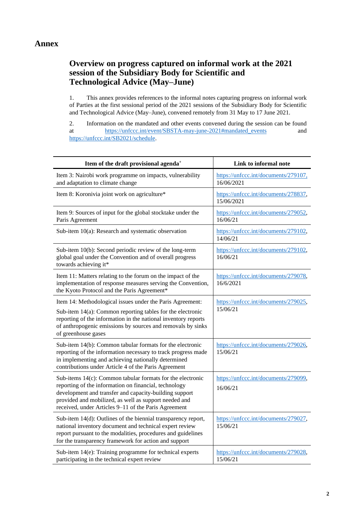## **Overview on progress captured on informal work at the 2021 session of the Subsidiary Body for Scientific and Technological Advice (May–June)**

1. This annex provides references to the informal notes capturing progress on informal work of Parties at the first sessional period of the 2021 sessions of the Subsidiary Body for Scientific and Technological Advice (May–June), convened remotely from 31 May to 17 June 2021.

2. Information on the mandated and other events convened during the session can be found at [https://unfccc.int/event/SBSTA-may-june-2021#mandated\\_events](https://unfccc.int/event/SBSTA-may-june-2021#mandated_events) and [https://unfccc.int/SB2021/schedule.](https://unfccc.int/SB2021/schedule)

| Item of the draft provisional agenda <sup>+</sup>                                                                                                                                                                                                                                                 | Link to informal note                              |
|---------------------------------------------------------------------------------------------------------------------------------------------------------------------------------------------------------------------------------------------------------------------------------------------------|----------------------------------------------------|
| Item 3: Nairobi work programme on impacts, vulnerability<br>and adaptation to climate change                                                                                                                                                                                                      | https://unfccc.int/documents/279107,<br>16/06/2021 |
| Item 8: Koronivia joint work on agriculture*                                                                                                                                                                                                                                                      | https://unfccc.int/documents/278837,<br>15/06/2021 |
| Item 9: Sources of input for the global stocktake under the<br>Paris Agreement                                                                                                                                                                                                                    | https://unfccc.int/documents/279052,<br>16/06/21   |
| Sub-item 10(a): Research and systematic observation                                                                                                                                                                                                                                               | https://unfccc.int/documents/279102,<br>14/06/21   |
| Sub-item 10(b): Second periodic review of the long-term<br>global goal under the Convention and of overall progress<br>towards achieving it*                                                                                                                                                      | https://unfccc.int/documents/279102,<br>16/06/21   |
| Item 11: Matters relating to the forum on the impact of the<br>implementation of response measures serving the Convention,<br>the Kyoto Protocol and the Paris Agreement*                                                                                                                         | https://unfccc.int/documents/279078,<br>16/6/2021  |
| Item 14: Methodological issues under the Paris Agreement:<br>Sub-item 14(a): Common reporting tables for the electronic<br>reporting of the information in the national inventory reports<br>of anthropogenic emissions by sources and removals by sinks<br>of greenhouse gases                   | https://unfccc.int/documents/279025,<br>15/06/21   |
| Sub-item 14(b): Common tabular formats for the electronic<br>reporting of the information necessary to track progress made<br>in implementing and achieving nationally determined<br>contributions under Article 4 of the Paris Agreement                                                         | https://unfccc.int/documents/279026,<br>15/06/21   |
| Sub-items $14(c)$ : Common tabular formats for the electronic<br>reporting of the information on financial, technology<br>development and transfer and capacity-building support<br>provided and mobilized, as well as support needed and<br>received, under Articles 9-11 of the Paris Agreement | https://unfccc.int/documents/279099,<br>16/06/21   |
| Sub-item 14(d): Outlines of the biennial transparency report,<br>national inventory document and technical expert review<br>report pursuant to the modalities, procedures and guidelines<br>for the transparency framework for action and support                                                 | https://unfccc.int/documents/279027,<br>15/06/21   |
| Sub-item 14(e): Training programme for technical experts<br>participating in the technical expert review                                                                                                                                                                                          | https://unfccc.int/documents/279028,<br>15/06/21   |